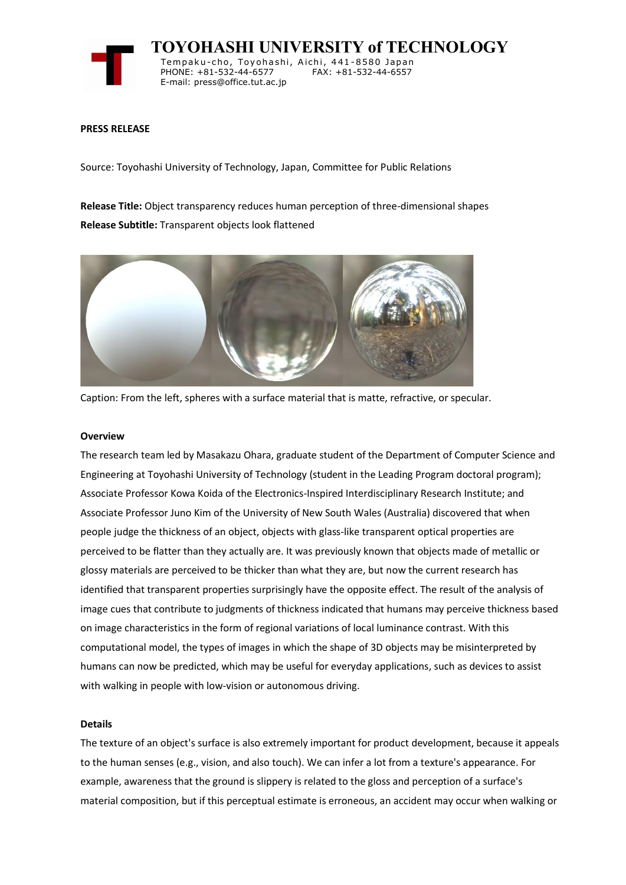

 **TOYOHASHI UNIVERSITY of TECHNOLOGY** Temp a k u-c h o , To y oh a shi , A i ch i , 4 41-858 0 Ja p an PHONE: +81-532-44-6577 E-mail: press@office.tut.ac.jp

## **PRESS RELEASE**

Source: Toyohashi University of Technology, Japan, Committee for Public Relations

**Release Title:** Object transparency reduces human perception of three-dimensional shapes **Release Subtitle:** Transparent objects look flattened



Caption: From the left, spheres with a surface material that is matte, refractive, or specular.

#### **Overview**

The research team led by Masakazu Ohara, graduate student of the Department of Computer Science and Engineering at Toyohashi University of Technology (student in the Leading Program doctoral program); Associate Professor Kowa Koida of the Electronics-Inspired Interdisciplinary Research Institute; and Associate Professor Juno Kim of the University of New South Wales (Australia) discovered that when people judge the thickness of an object, objects with glass-like transparent optical properties are perceived to be flatter than they actually are. It was previously known that objects made of metallic or glossy materials are perceived to be thicker than what they are, but now the current research has identified that transparent properties surprisingly have the opposite effect. The result of the analysis of image cues that contribute to judgments of thickness indicated that humans may perceive thickness based on image characteristics in the form of regional variations of local luminance contrast. With this computational model, the types of images in which the shape of 3D objects may be misinterpreted by humans can now be predicted, which may be useful for everyday applications, such as devices to assist with walking in people with low-vision or autonomous driving.

## **Details**

The texture of an object's surface is also extremely important for product development, because it appeals to the human senses (e.g., vision, and also touch). We can infer a lot from a texture's appearance. For example, awareness that the ground is slippery is related to the gloss and perception of a surface's material composition, but if this perceptual estimate is erroneous, an accident may occur when walking or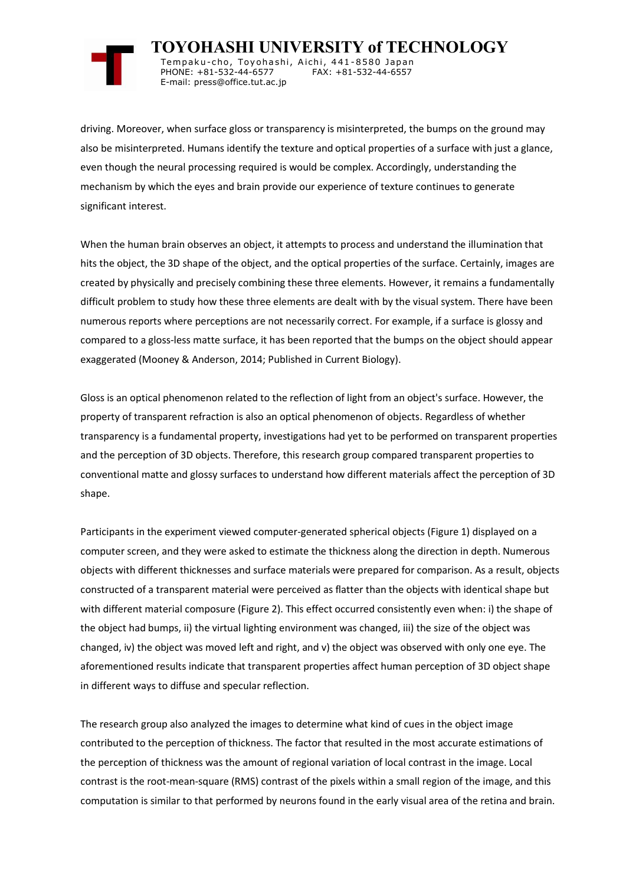

 **TOYOHASHI UNIVERSITY of TECHNOLOGY** Tempaku-cho, Toyohashi, Aichi, 441-8580 Japan<br>PHONE: +81-532-44-6577 FAX: +81-532-44-6557 PHONE: +81-532-44-6577 E-mail: press@office.tut.ac.jp

driving. Moreover, when surface gloss or transparency is misinterpreted, the bumps on the ground may also be misinterpreted. Humans identify the texture and optical properties of a surface with just a glance, even though the neural processing required is would be complex. Accordingly, understanding the mechanism by which the eyes and brain provide our experience of texture continues to generate significant interest.

When the human brain observes an object, it attempts to process and understand the illumination that hits the object, the 3D shape of the object, and the optical properties of the surface. Certainly, images are created by physically and precisely combining these three elements. However, it remains a fundamentally difficult problem to study how these three elements are dealt with by the visual system. There have been numerous reports where perceptions are not necessarily correct. For example, if a surface is glossy and compared to a gloss-less matte surface, it has been reported that the bumps on the object should appear exaggerated (Mooney & Anderson, 2014; Published in Current Biology).

Gloss is an optical phenomenon related to the reflection of light from an object's surface. However, the property of transparent refraction is also an optical phenomenon of objects. Regardless of whether transparency is a fundamental property, investigations had yet to be performed on transparent properties and the perception of 3D objects. Therefore, this research group compared transparent properties to conventional matte and glossy surfaces to understand how different materials affect the perception of 3D shape.

Participants in the experiment viewed computer-generated spherical objects (Figure 1) displayed on a computer screen, and they were asked to estimate the thickness along the direction in depth. Numerous objects with different thicknesses and surface materials were prepared for comparison. As a result, objects constructed of a transparent material were perceived as flatter than the objects with identical shape but with different material composure (Figure 2). This effect occurred consistently even when: i) the shape of the object had bumps, ii) the virtual lighting environment was changed, iii) the size of the object was changed, iv) the object was moved left and right, and v) the object was observed with only one eye. The aforementioned results indicate that transparent properties affect human perception of 3D object shape in different ways to diffuse and specular reflection.

The research group also analyzed the images to determine what kind of cues in the object image contributed to the perception of thickness. The factor that resulted in the most accurate estimations of the perception of thickness was the amount of regional variation of local contrast in the image. Local contrast is the root-mean-square (RMS) contrast of the pixels within a small region of the image, and this computation is similar to that performed by neurons found in the early visual area of the retina and brain.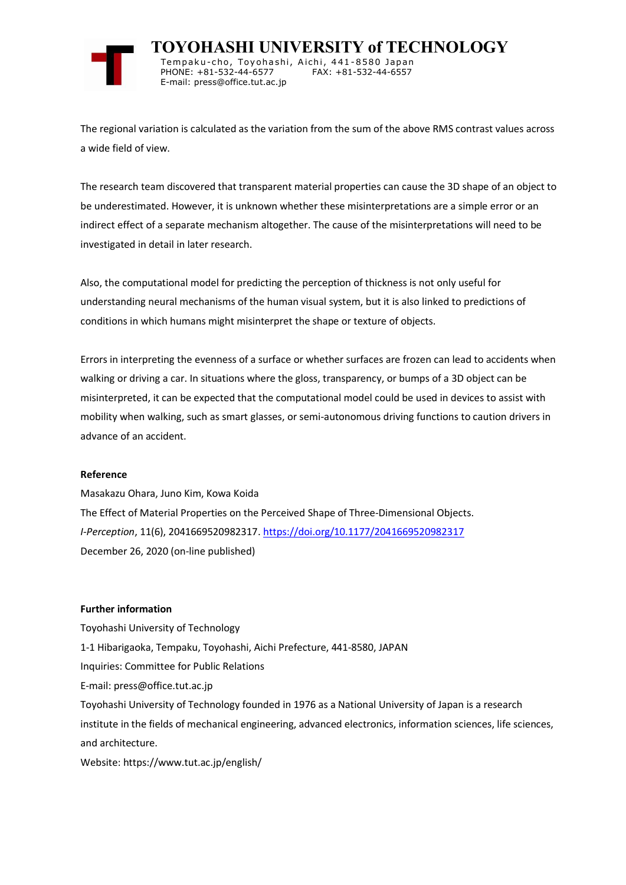

 **TOYOHASHI UNIVERSITY of TECHNOLOGY** Tempaku-cho, Toyohashi, Aichi, 441-8580 Japan<br>PHONE: +81-532-44-6577 FAX: +81-532-44-6557 PHONE: +81-532-44-6577 E-mail: press@office.tut.ac.jp

The regional variation is calculated as the variation from the sum of the above RMS contrast values across a wide field of view.

The research team discovered that transparent material properties can cause the 3D shape of an object to be underestimated. However, it is unknown whether these misinterpretations are a simple error or an indirect effect of a separate mechanism altogether. The cause of the misinterpretations will need to be investigated in detail in later research.

Also, the computational model for predicting the perception of thickness is not only useful for understanding neural mechanisms of the human visual system, but it is also linked to predictions of conditions in which humans might misinterpret the shape or texture of objects.

Errors in interpreting the evenness of a surface or whether surfaces are frozen can lead to accidents when walking or driving a car. In situations where the gloss, transparency, or bumps of a 3D object can be misinterpreted, it can be expected that the computational model could be used in devices to assist with mobility when walking, such as smart glasses, or semi-autonomous driving functions to caution drivers in advance of an accident.

# **Reference**

Masakazu Ohara, Juno Kim, Kowa Koida The Effect of Material Properties on the Perceived Shape of Three-Dimensional Objects. *I-Perception*, 11(6), 2041669520982317.<https://doi.org/10.1177/2041669520982317> December 26, 2020 (on-line published)

### **Further information**

Toyohashi University of Technology 1-1 Hibarigaoka, Tempaku, Toyohashi, Aichi Prefecture, 441-8580, JAPAN Inquiries: Committee for Public Relations E-mail: press@office.tut.ac.jp Toyohashi University of Technology founded in 1976 as a National University of Japan is a research institute in the fields of mechanical engineering, advanced electronics, information sciences, life sciences, and architecture. Website: https://www.tut.ac.jp/english/